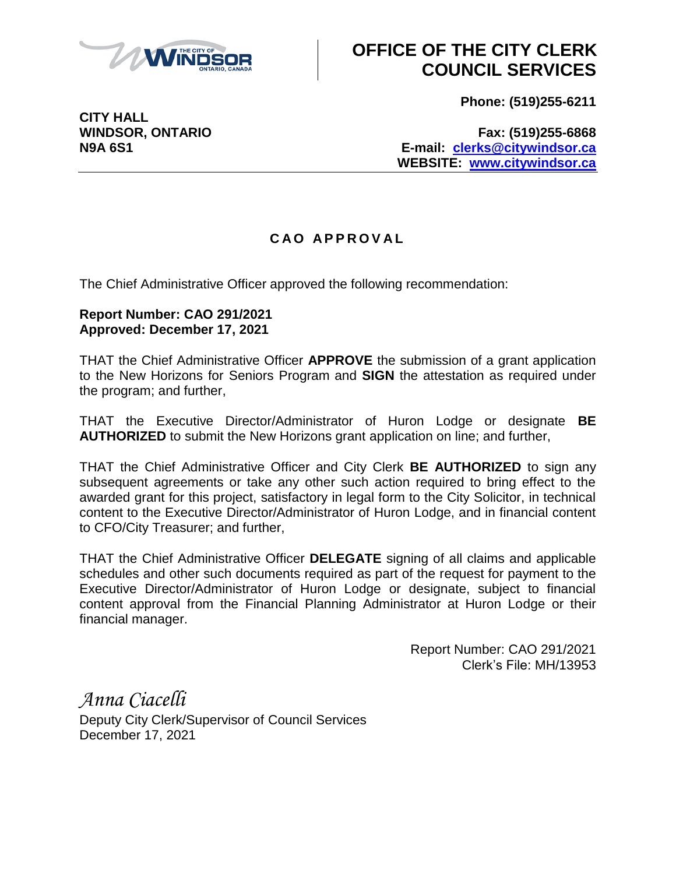

## **OFFICE OF THE CITY CLERK COUNCIL SERVICES**

**Phone: (519)255-6211**

**CITY HALL**

**WINDSOR, ONTARIO Fax: (519)255-6868 N9A 6S1 E-mail: [clerks@citywindsor.ca](mailto:clerks@citywindsor.ca) WEBSITE: [www.citywindsor.ca](http://www.citywindsor.ca/)**

## **C A O A P P R O V A L**

The Chief Administrative Officer approved the following recommendation:

## **Report Number: CAO 291/2021 Approved: December 17, 2021**

THAT the Chief Administrative Officer **APPROVE** the submission of a grant application to the New Horizons for Seniors Program and **SIGN** the attestation as required under the program; and further,

THAT the Executive Director/Administrator of Huron Lodge or designate **BE AUTHORIZED** to submit the New Horizons grant application on line; and further,

THAT the Chief Administrative Officer and City Clerk **BE AUTHORIZED** to sign any subsequent agreements or take any other such action required to bring effect to the awarded grant for this project, satisfactory in legal form to the City Solicitor, in technical content to the Executive Director/Administrator of Huron Lodge, and in financial content to CFO/City Treasurer; and further,

THAT the Chief Administrative Officer **DELEGATE** signing of all claims and applicable schedules and other such documents required as part of the request for payment to the Executive Director/Administrator of Huron Lodge or designate, subject to financial content approval from the Financial Planning Administrator at Huron Lodge or their financial manager.

> Report Number: CAO 291/2021 Clerk's File: MH/13953

*Anna Ciacelli* Deputy City Clerk/Supervisor of Council Services December 17, 2021